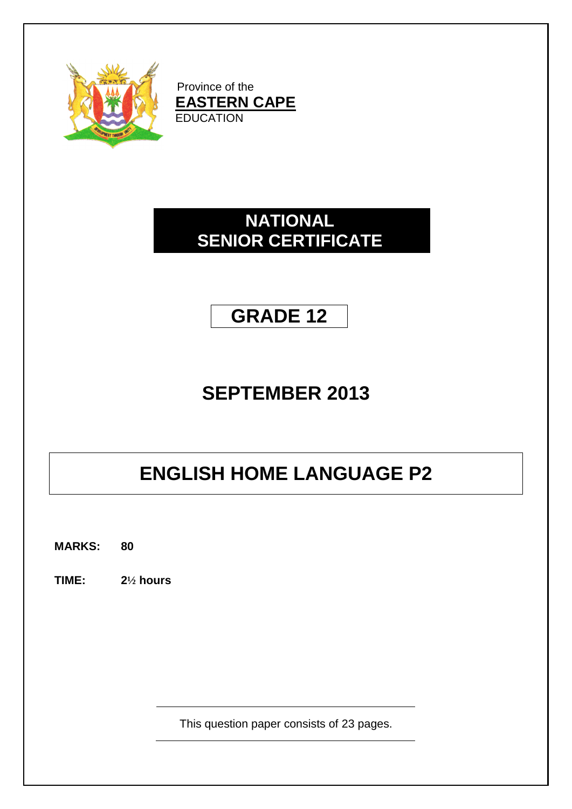

Province of the **EASTERN CAPE EDUCATION** 

# **NATIONAL SENIOR CERTIFICATE**

# **GRADE 12**

# **SEPTEMBER 2013**

# **ENGLISH HOME LANGUAGE P2**

**MARKS: 80**

**TIME: 2½ hours**

This question paper consists of 23 pages.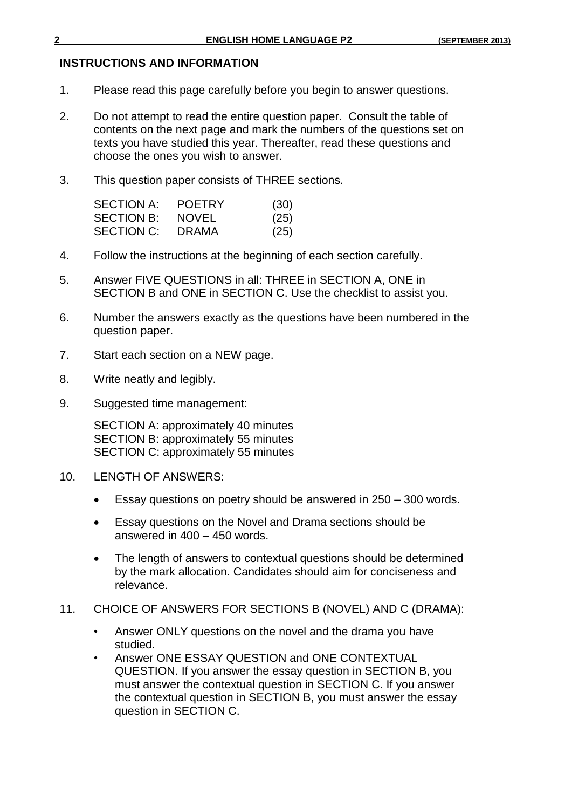## **INSTRUCTIONS AND INFORMATION**

- 1. Please read this page carefully before you begin to answer questions.
- 2. Do not attempt to read the entire question paper. Consult the table of contents on the next page and mark the numbers of the questions set on texts you have studied this year. Thereafter, read these questions and choose the ones you wish to answer.
- 3. This question paper consists of THREE sections.

| <b>SECTION A:</b> | <b>POETRY</b> | (30) |
|-------------------|---------------|------|
| <b>SECTION B:</b> | <b>NOVEL</b>  | (25) |
| SECTION C:        | DRAMA         | (25) |

- 4. Follow the instructions at the beginning of each section carefully.
- 5. Answer FIVE QUESTIONS in all: THREE in SECTION A, ONE in SECTION B and ONE in SECTION C. Use the checklist to assist you.
- 6. Number the answers exactly as the questions have been numbered in the question paper.
- 7. Start each section on a NEW page.
- 8. Write neatly and legibly.
- 9. Suggested time management:

SECTION A: approximately 40 minutes SECTION B: approximately 55 minutes SECTION C: approximately 55 minutes

- 10. LENGTH OF ANSWERS:
	- Essay questions on poetry should be answered in 250 300 words.
	- Essay questions on the Novel and Drama sections should be answered in 400 – 450 words.
	- The length of answers to contextual questions should be determined by the mark allocation. Candidates should aim for conciseness and relevance.
- 11. CHOICE OF ANSWERS FOR SECTIONS B (NOVEL) AND C (DRAMA):
	- Answer ONLY questions on the novel and the drama you have studied.
	- Answer ONE ESSAY QUESTION and ONE CONTEXTUAL QUESTION. If you answer the essay question in SECTION B, you must answer the contextual question in SECTION C. If you answer the contextual question in SECTION B, you must answer the essay question in SECTION C.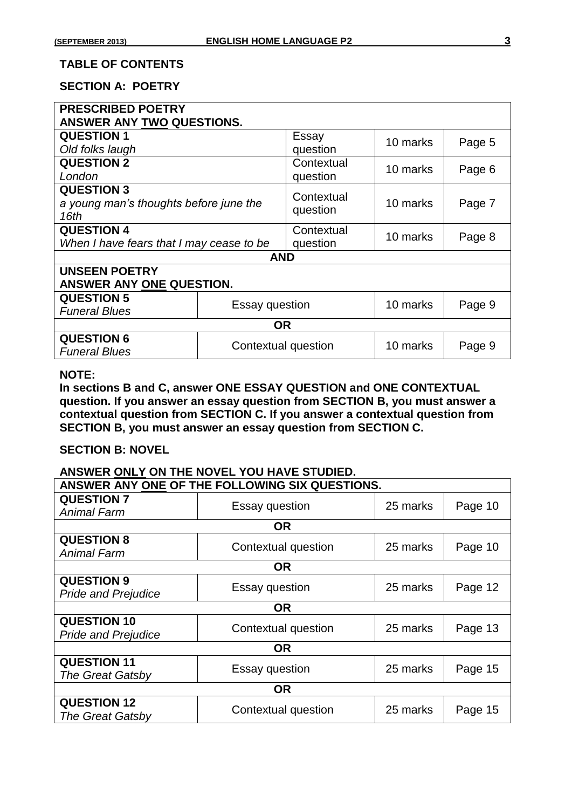## **TABLE OF CONTENTS**

### **SECTION A: POETRY**

| <b>PRESCRIBED POETRY</b>                             |                           |            |          |        |  |  |
|------------------------------------------------------|---------------------------|------------|----------|--------|--|--|
|                                                      | ANSWER ANY TWO QUESTIONS. |            |          |        |  |  |
| <b>QUESTION 1</b>                                    |                           | Essay      | 10 marks | Page 5 |  |  |
| Old folks laugh                                      |                           | question   |          |        |  |  |
| <b>QUESTION 2</b>                                    |                           | Contextual | 10 marks | Page 6 |  |  |
| London                                               |                           | question   |          |        |  |  |
| <b>QUESTION 3</b>                                    |                           | Contextual |          |        |  |  |
| a young man's thoughts before june the               |                           | question   | 10 marks | Page 7 |  |  |
| 16th                                                 |                           |            |          |        |  |  |
| <b>QUESTION 4</b>                                    |                           | Contextual | 10 marks | Page 8 |  |  |
| When I have fears that I may cease to be             |                           | question   |          |        |  |  |
|                                                      | <b>AND</b>                |            |          |        |  |  |
| <b>UNSEEN POETRY</b>                                 |                           |            |          |        |  |  |
| ANSWER ANY ONE QUESTION.                             |                           |            |          |        |  |  |
| <b>QUESTION 5</b>                                    |                           |            | 10 marks | Page 9 |  |  |
| <b>Funeral Blues</b>                                 | Essay question            |            |          |        |  |  |
| <b>OR</b>                                            |                           |            |          |        |  |  |
| <b>QUESTION 6</b><br>10 marks<br>Contextual question |                           |            | Page 9   |        |  |  |
| <b>Funeral Blues</b>                                 |                           |            |          |        |  |  |

# **NOTE:**

**In sections B and C, answer ONE ESSAY QUESTION and ONE CONTEXTUAL question. If you answer an essay question from SECTION B, you must answer a contextual question from SECTION C. If you answer a contextual question from SECTION B, you must answer an essay question from SECTION C.**

## **SECTION B: NOVEL**

## **ANSWER ONLY ON THE NOVEL YOU HAVE STUDIED.**

| ANSWER ANY ONE OF THE FOLLOWING SIX QUESTIONS.   |                     |          |         |  |
|--------------------------------------------------|---------------------|----------|---------|--|
| <b>QUESTION 7</b><br><b>Animal Farm</b>          | Essay question      | 25 marks | Page 10 |  |
|                                                  | <b>OR</b>           |          |         |  |
| <b>QUESTION 8</b><br>Animal Farm                 | Contextual question | 25 marks | Page 10 |  |
|                                                  | <b>OR</b>           |          |         |  |
| <b>QUESTION 9</b><br><b>Pride and Prejudice</b>  | Essay question      | 25 marks | Page 12 |  |
|                                                  | <b>OR</b>           |          |         |  |
| <b>QUESTION 10</b><br><b>Pride and Prejudice</b> | Contextual question | 25 marks | Page 13 |  |
|                                                  | <b>OR</b>           |          |         |  |
| <b>QUESTION 11</b><br><b>The Great Gatsby</b>    | Essay question      | 25 marks | Page 15 |  |
| <b>OR</b>                                        |                     |          |         |  |
| <b>QUESTION 12</b><br><b>The Great Gatsby</b>    | Contextual question | 25 marks | Page 15 |  |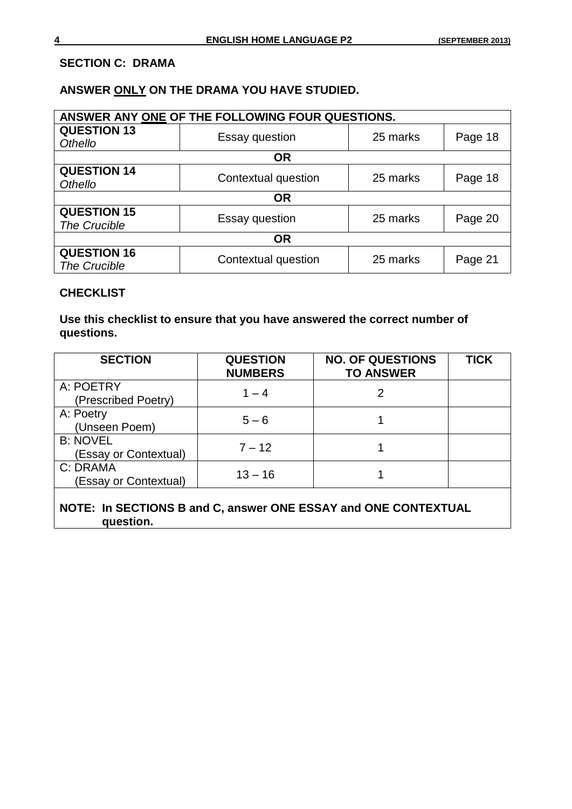# **SECTION C: DRAMA**

# **ANSWER ONLY ON THE DRAMA YOU HAVE STUDIED.**

| ANSWER ANY ONE OF THE FOLLOWING FOUR QUESTIONS. |                     |          |         |
|-------------------------------------------------|---------------------|----------|---------|
| <b>QUESTION 13</b><br>Othello                   | Essay question      | 25 marks | Page 18 |
|                                                 | <b>OR</b>           |          |         |
| <b>QUESTION 14</b><br><b>Othello</b>            | Contextual question | 25 marks | Page 18 |
|                                                 | <b>OR</b>           |          |         |
| <b>QUESTION 15</b><br>The Crucible              | Essay question      | 25 marks | Page 20 |
| <b>OR</b>                                       |                     |          |         |
| <b>QUESTION 16</b><br>The Crucible              | Contextual question | 25 marks | Page 21 |

## **CHECKLIST**

**Use this checklist to ensure that you have answered the correct number of questions.**

| <b>SECTION</b>                                                              | <b>QUESTION</b><br><b>NUMBERS</b> | <b>NO. OF QUESTIONS</b><br><b>TO ANSWER</b> | <b>TICK</b> |
|-----------------------------------------------------------------------------|-----------------------------------|---------------------------------------------|-------------|
| A: POETRY<br>(Prescribed Poetry)                                            | $1 - 4$                           | 2                                           |             |
| A: Poetry<br>(Unseen Poem)                                                  | $5 - 6$                           |                                             |             |
| <b>B: NOVEL</b><br>(Essay or Contextual)                                    | $7 - 12$                          |                                             |             |
| C: DRAMA<br>(Essay or Contextual)                                           | $13 - 16$                         |                                             |             |
| NOTE: In SECTIONS B and C, answer ONE ESSAY and ONE CONTEXTUAL<br>question. |                                   |                                             |             |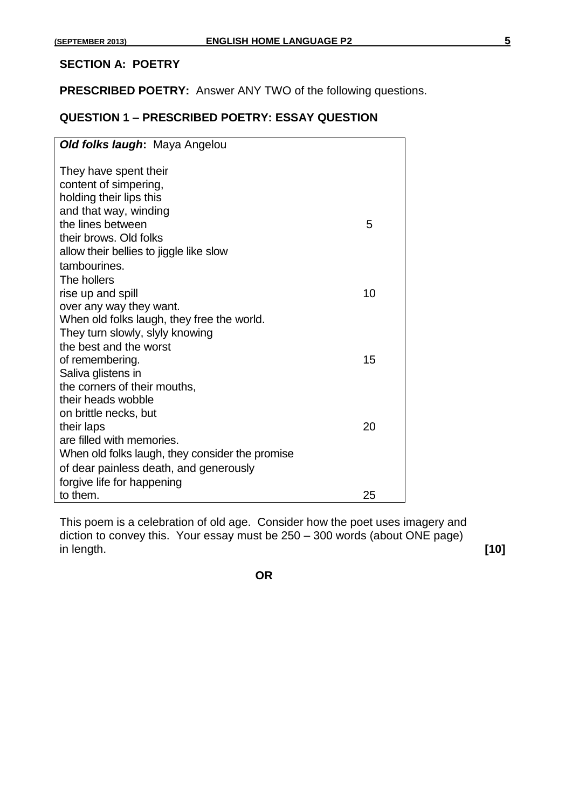# **SECTION A: POETRY**

**PRESCRIBED POETRY:** Answer ANY TWO of the following questions.

# **QUESTION 1 – PRESCRIBED POETRY: ESSAY QUESTION**

| Old folks laugh: Maya Angelou                   |    |
|-------------------------------------------------|----|
| They have spent their                           |    |
| content of simpering,                           |    |
| holding their lips this                         |    |
| and that way, winding                           |    |
| the lines between                               | 5  |
| their brows. Old folks                          |    |
|                                                 |    |
| allow their bellies to jiggle like slow         |    |
| tambourines.                                    |    |
| The hollers                                     |    |
| rise up and spill                               | 10 |
| over any way they want.                         |    |
| When old folks laugh, they free the world.      |    |
| They turn slowly, slyly knowing                 |    |
| the best and the worst                          |    |
| of remembering.                                 | 15 |
| Saliva glistens in                              |    |
| the corners of their mouths,                    |    |
| their heads wobble                              |    |
| on brittle necks, but                           |    |
| their laps                                      | 20 |
| are filled with memories.                       |    |
| When old folks laugh, they consider the promise |    |
| of dear painless death, and generously          |    |
| forgive life for happening                      |    |
| to them.                                        | 25 |
|                                                 |    |

This poem is a celebration of old age. Consider how the poet uses imagery and diction to convey this. Your essay must be 250 – 300 words (about ONE page) in length. **[10]**

**OR**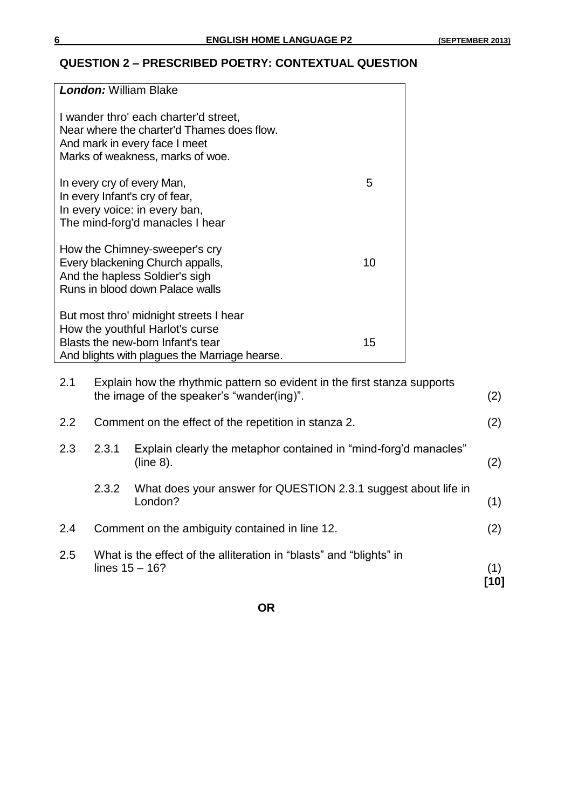# **QUESTION 2 – PRESCRIBED POETRY: CONTEXTUAL QUESTION**

|     |       | <b>London: William Blake</b>                                                                                                                                    |    |             |
|-----|-------|-----------------------------------------------------------------------------------------------------------------------------------------------------------------|----|-------------|
|     |       | I wander thro' each charter'd street,<br>Near where the charter'd Thames does flow.<br>And mark in every face I meet<br>Marks of weakness, marks of woe.        |    |             |
|     |       | In every cry of every Man,<br>In every Infant's cry of fear,<br>In every voice: in every ban,<br>The mind-forg'd manacles I hear                                | 5  |             |
|     |       | How the Chimney-sweeper's cry<br>Every blackening Church appalls,<br>And the hapless Soldier's sigh<br>Runs in blood down Palace walls                          | 10 |             |
|     |       | But most thro' midnight streets I hear<br>How the youthful Harlot's curse<br>Blasts the new-born Infant's tear<br>And blights with plagues the Marriage hearse. | 15 |             |
| 2.1 |       | Explain how the rhythmic pattern so evident in the first stanza supports<br>the image of the speaker's "wander(ing)".                                           |    | (2)         |
| 2.2 |       | Comment on the effect of the repetition in stanza 2.                                                                                                            |    | (2)         |
| 2.3 | 2.3.1 | Explain clearly the metaphor contained in "mind-forg'd manacles"<br>(line 8).                                                                                   |    | (2)         |
|     | 2.3.2 | What does your answer for QUESTION 2.3.1 suggest about life in<br>London?                                                                                       |    | (1)         |
| 2.4 |       | Comment on the ambiguity contained in line 12.                                                                                                                  |    | (2)         |
| 2.5 |       | What is the effect of the alliteration in "blasts" and "blights" in<br>lines $15 - 16$ ?                                                                        |    | (1)<br>[10] |
|     |       |                                                                                                                                                                 |    |             |

**OR**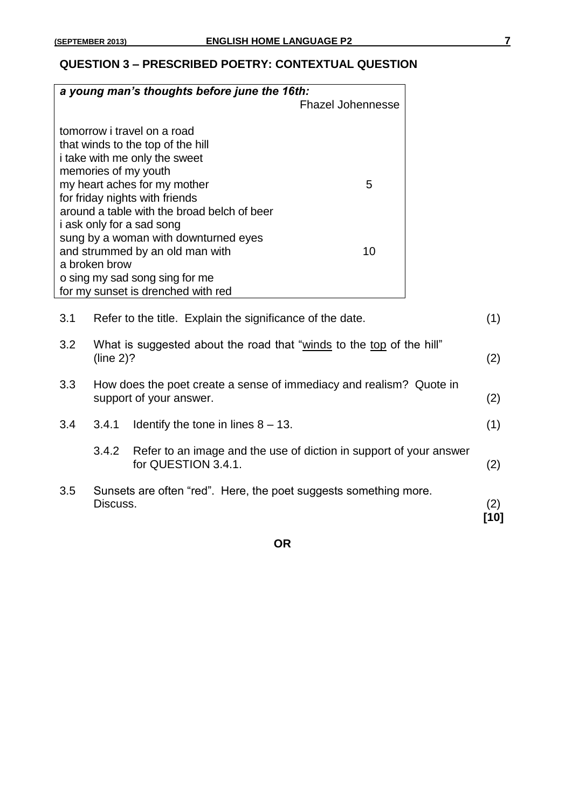# **QUESTION 3 – PRESCRIBED POETRY: CONTEXTUAL QUESTION**

|     |               | a young man's thoughts before june the 16th:                                                                              |               |
|-----|---------------|---------------------------------------------------------------------------------------------------------------------------|---------------|
|     |               | <b>Fhazel Johennesse</b>                                                                                                  |               |
|     |               | tomorrow i travel on a road<br>that winds to the top of the hill<br>i take with me only the sweet<br>memories of my youth |               |
|     |               | my heart aches for my mother<br>5<br>for friday nights with friends                                                       |               |
|     |               | around a table with the broad belch of beer<br>i ask only for a sad song                                                  |               |
|     |               | sung by a woman with downturned eyes<br>and strummed by an old man with<br>10                                             |               |
|     | a broken brow |                                                                                                                           |               |
|     |               | o sing my sad song sing for me                                                                                            |               |
|     |               | for my sunset is drenched with red                                                                                        |               |
| 3.1 |               | Refer to the title. Explain the significance of the date.                                                                 | (1)           |
| 3.2 | (line 2)?     | What is suggested about the road that "winds to the top of the hill"                                                      | (2)           |
| 3.3 |               | How does the poet create a sense of immediacy and realism? Quote in<br>support of your answer.                            | (2)           |
| 3.4 | 3.4.1         | Identify the tone in lines $8 - 13$ .                                                                                     | (1)           |
|     | 3.4.2         | Refer to an image and the use of diction in support of your answer<br>for QUESTION 3.4.1.                                 | (2)           |
| 3.5 | Discuss.      | Sunsets are often "red". Here, the poet suggests something more.                                                          | (2)<br>$[10]$ |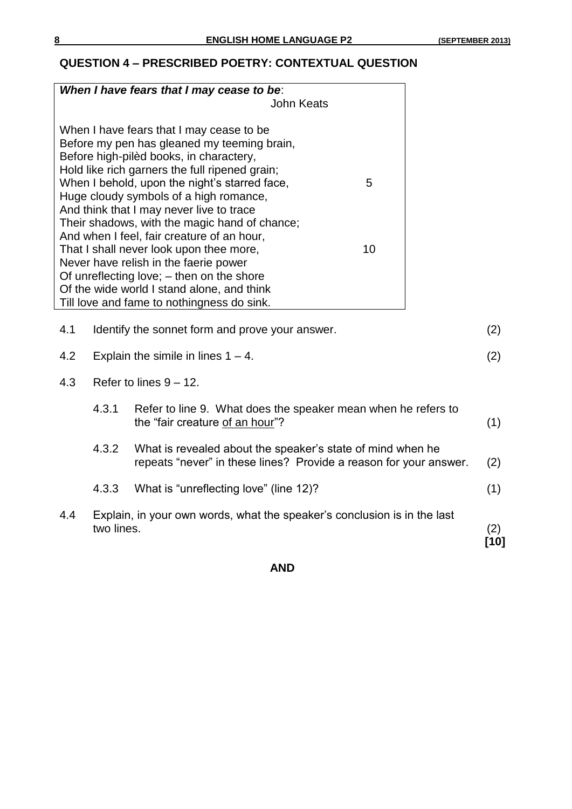# **QUESTION 4 – PRESCRIBED POETRY: CONTEXTUAL QUESTION**

|       | When I have fears that I may cease to be:<br><b>John Keats</b>                                                                                                                                                                          |             |
|-------|-----------------------------------------------------------------------------------------------------------------------------------------------------------------------------------------------------------------------------------------|-------------|
|       | When I have fears that I may cease to be<br>Before my pen has gleaned my teeming brain,<br>Before high-pilèd books, in charactery,<br>Hold like rich garners the full ripened grain;                                                    |             |
|       | When I behold, upon the night's starred face,<br>5<br>Huge cloudy symbols of a high romance,<br>And think that I may never live to trace<br>Their shadows, with the magic hand of chance;<br>And when I feel, fair creature of an hour, |             |
|       | 10<br>That I shall never look upon thee more,                                                                                                                                                                                           |             |
|       | Never have relish in the faerie power<br>Of unreflecting love; - then on the shore                                                                                                                                                      |             |
|       | Of the wide world I stand alone, and think                                                                                                                                                                                              |             |
|       | Till love and fame to nothingness do sink.                                                                                                                                                                                              |             |
| 4.1   | Identify the sonnet form and prove your answer.                                                                                                                                                                                         | (2)         |
| 4.2   | Explain the simile in lines $1 - 4$ .                                                                                                                                                                                                   | (2)         |
| 4.3   | Refer to lines $9 - 12$ .                                                                                                                                                                                                               |             |
| 4.3.1 | Refer to line 9. What does the speaker mean when he refers to<br>the "fair creature of an hour"?                                                                                                                                        | (1)         |
| 4.3.2 | What is revealed about the speaker's state of mind when he<br>repeats "never" in these lines? Provide a reason for your answer.                                                                                                         | (2)         |
| 4.3.3 | What is "unreflecting love" (line 12)?                                                                                                                                                                                                  | (1)         |
| 4.4   | Explain, in your own words, what the speaker's conclusion is in the last<br>two lines.                                                                                                                                                  | (2)<br>[10] |

**AND**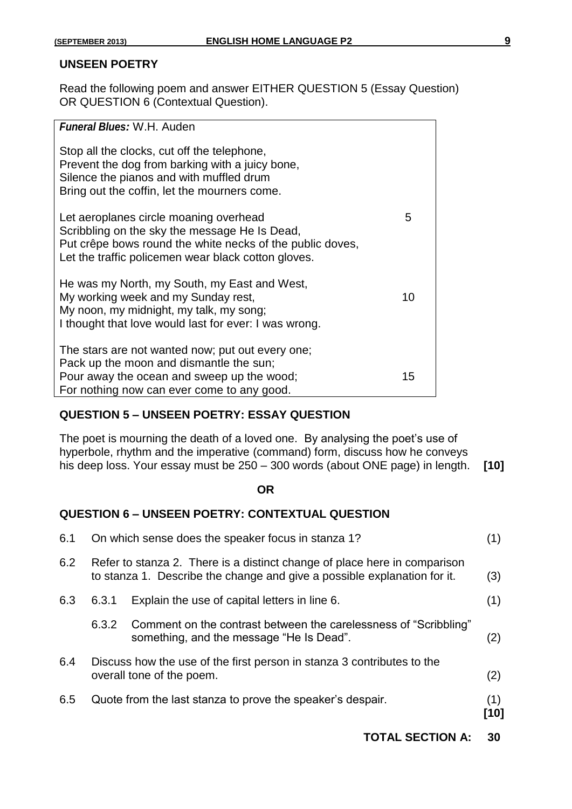## **UNSEEN POETRY**

Read the following poem and answer EITHER QUESTION 5 (Essay Question) OR QUESTION 6 (Contextual Question).

## *Funeral Blues:* W.H. Auden

Stop all the clocks, cut off the telephone, Prevent the dog from barking with a juicy bone, Silence the pianos and with muffled drum Bring out the coffin, let the mourners come.

Let aeroplanes circle moaning overhead 5 Scribbling on the sky the message He Is Dead, Put crêpe bows round the white necks of the public doves, Let the traffic policemen wear black cotton gloves.

| He was my North, my South, my East and West,          |                 |
|-------------------------------------------------------|-----------------|
| My working week and my Sunday rest,                   | 10              |
| My noon, my midnight, my talk, my song;               |                 |
| I thought that love would last for ever: I was wrong. |                 |
| The stars are not wanted now; put out every one;      |                 |
| Pack up the moon and dismantle the sun;               |                 |
| Pour away the ocean and sweep up the wood;            | 15 <sub>1</sub> |

## **QUESTION 5 – UNSEEN POETRY: ESSAY QUESTION**

For nothing now can ever come to any good.

The poet is mourning the death of a loved one. By analysing the poet's use of hyperbole, rhythm and the imperative (command) form, discuss how he conveys his deep loss. Your essay must be 250 – 300 words (about ONE page) in length. **[10]**

#### **OR**

## **QUESTION 6 – UNSEEN POETRY: CONTEXTUAL QUESTION**

|       |                                                                                                              | (1)                                                                                                                                                                                                                                                                                                                                                                              |
|-------|--------------------------------------------------------------------------------------------------------------|----------------------------------------------------------------------------------------------------------------------------------------------------------------------------------------------------------------------------------------------------------------------------------------------------------------------------------------------------------------------------------|
|       |                                                                                                              | (3)                                                                                                                                                                                                                                                                                                                                                                              |
| 6.3.1 | Explain the use of capital letters in line 6.                                                                | (1)                                                                                                                                                                                                                                                                                                                                                                              |
| 6.3.2 | Comment on the contrast between the carelessness of "Scribbling"<br>something, and the message "He Is Dead". | (2)                                                                                                                                                                                                                                                                                                                                                                              |
|       |                                                                                                              | (2)                                                                                                                                                                                                                                                                                                                                                                              |
|       |                                                                                                              | (1)<br>[10]                                                                                                                                                                                                                                                                                                                                                                      |
|       |                                                                                                              | On which sense does the speaker focus in stanza 1?<br>Refer to stanza 2. There is a distinct change of place here in comparison<br>to stanza 1. Describe the change and give a possible explanation for it.<br>Discuss how the use of the first person in stanza 3 contributes to the<br>overall tone of the poem.<br>Quote from the last stanza to prove the speaker's despair. |

**TOTAL SECTION A: 30**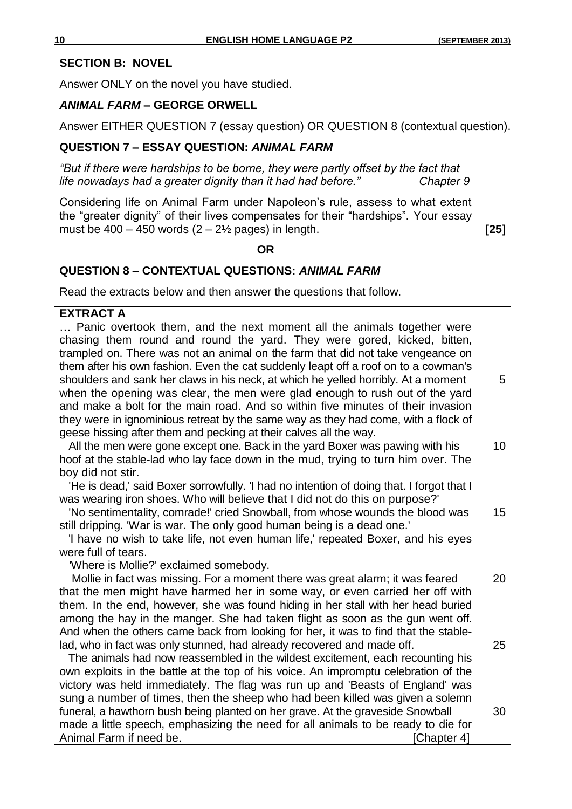# **SECTION B: NOVEL**

Answer ONLY on the novel you have studied.

# *ANIMAL FARM* **– GEORGE ORWELL**

Answer EITHER QUESTION 7 (essay question) OR QUESTION 8 (contextual question).

# **QUESTION 7 – ESSAY QUESTION:** *ANIMAL FARM*

*"But if there were hardships to be borne, they were partly offset by the fact that life nowadays had a greater dignity than it had had before." Chapter 9*

Considering life on Animal Farm under Napoleon's rule, assess to what extent the "greater dignity" of their lives compensates for their "hardships". Your essay must be 400 – 450 words (2 – 2½ pages) in length. **[25]**

#### **OR**

## **QUESTION 8 – CONTEXTUAL QUESTIONS:** *ANIMAL FARM*

Read the extracts below and then answer the questions that follow.

# **EXTRACT A**

… Panic overtook them, and the next moment all the animals together were chasing them round and round the yard. They were gored, kicked, bitten, trampled on. There was not an animal on the farm that did not take vengeance on them after his own fashion. Even the cat suddenly leapt off a roof on to a cowman's shoulders and sank her claws in his neck, at which he yelled horribly. At a moment 5 when the opening was clear, the men were glad enough to rush out of the yard and make a bolt for the main road. And so within five minutes of their invasion they were in ignominious retreat by the same way as they had come, with a flock of geese hissing after them and pecking at their calves all the way. All the men were gone except one. Back in the yard Boxer was pawing with his 10 hoof at the stable-lad who lay face down in the mud, trying to turn him over. The boy did not stir. 'He is dead,' said Boxer sorrowfully. 'I had no intention of doing that. I forgot that I was wearing iron shoes. Who will believe that I did not do this on purpose?' 'No sentimentality, comrade!' cried Snowball, from whose wounds the blood was 15 still dripping. 'War is war. The only good human being is a dead one.' 'I have no wish to take life, not even human life,' repeated Boxer, and his eyes were full of tears. 'Where is Mollie?' exclaimed somebody. Mollie in fact was missing. For a moment there was great alarm; it was feared 20 that the men might have harmed her in some way, or even carried her off with them. In the end, however, she was found hiding in her stall with her head buried among the hay in the manger. She had taken flight as soon as the gun went off. And when the others came back from looking for her, it was to find that the stablelad, who in fact was only stunned, had already recovered and made off. 25 The animals had now reassembled in the wildest excitement, each recounting his own exploits in the battle at the top of his voice. An impromptu celebration of the victory was held immediately. The flag was run up and 'Beasts of England' was sung a number of times, then the sheep who had been killed was given a solemn funeral, a hawthorn bush being planted on her grave. At the graveside Snowball 30 made a little speech, emphasizing the need for all animals to be ready to die for Animal Farm if need be. **Example 20** Section 1 and 20 Section 1 and 20 Section 1 and 20 Section 1 and 20 Section 1 and 20 Section 1 and 20 Section 1 and 20 Section 1 and 20 Section 1 and 20 Section 1 and 20 Section 1 and 2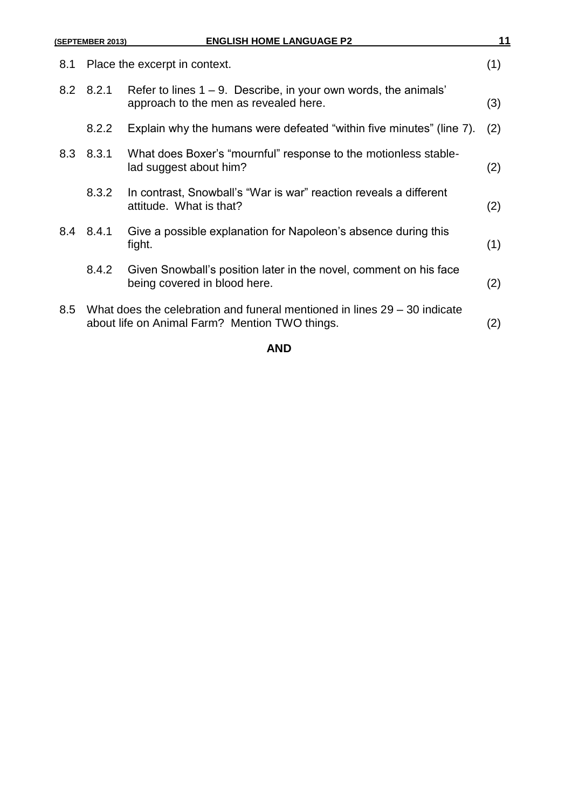|     | (SEPTEMBER 2013) | <b>ENGLISH HOME LANGUAGE P2</b>                                                                                             | 11  |
|-----|------------------|-----------------------------------------------------------------------------------------------------------------------------|-----|
| 8.1 |                  | Place the excerpt in context.                                                                                               | (1) |
|     | 8.2 8.2.1        | Refer to lines $1 - 9$ . Describe, in your own words, the animals'<br>approach to the men as revealed here.                 | (3) |
|     | 8.2.2            | Explain why the humans were defeated "within five minutes" (line 7).                                                        | (2) |
|     | 8.3 8.3.1        | What does Boxer's "mournful" response to the motionless stable-<br>lad suggest about him?                                   | (2) |
|     | 8.3.2            | In contrast, Snowball's "War is war" reaction reveals a different<br>attitude. What is that?                                | (2) |
|     | 8.4 8.4.1        | Give a possible explanation for Napoleon's absence during this<br>fight.                                                    | (1) |
|     | 8.4.2            | Given Snowball's position later in the novel, comment on his face<br>being covered in blood here.                           | (2) |
| 8.5 |                  | What does the celebration and funeral mentioned in lines 29 – 30 indicate<br>about life on Animal Farm? Mention TWO things. | (2) |
|     |                  |                                                                                                                             |     |

# **AND**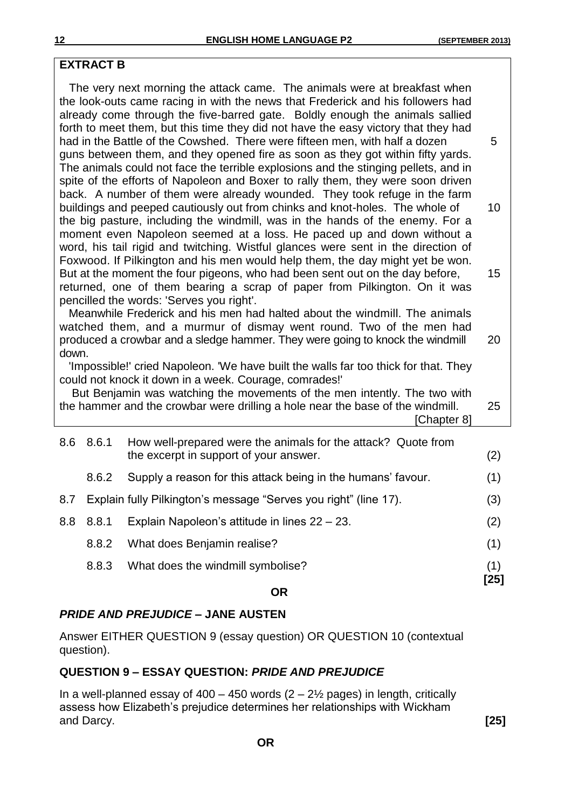# **EXTRACT B**

 The very next morning the attack came. The animals were at breakfast when the look-outs came racing in with the news that Frederick and his followers had already come through the five-barred gate. Boldly enough the animals sallied forth to meet them, but this time they did not have the easy victory that they had had in the Battle of the Cowshed. There were fifteen men, with half a dozen 5 guns between them, and they opened fire as soon as they got within fifty yards. The animals could not face the terrible explosions and the stinging pellets, and in spite of the efforts of Napoleon and Boxer to rally them, they were soon driven back. A number of them were already wounded. They took refuge in the farm buildings and peeped cautiously out from chinks and knot-holes. The whole of 10 the big pasture, including the windmill, was in the hands of the enemy. For a moment even Napoleon seemed at a loss. He paced up and down without a word, his tail rigid and twitching. Wistful glances were sent in the direction of Foxwood. If Pilkington and his men would help them, the day might yet be won. But at the moment the four pigeons, who had been sent out on the day before, 15 returned, one of them bearing a scrap of paper from Pilkington. On it was pencilled the words: 'Serves you right'. Meanwhile Frederick and his men had halted about the windmill. The animals

watched them, and a murmur of dismay went round. Two of the men had produced a crowbar and a sledge hammer. They were going to knock the windmill 20 down.

 'Impossible!' cried Napoleon. 'We have built the walls far too thick for that. They could not knock it down in a week. Courage, comrades!'

 But Benjamin was watching the movements of the men intently. The two with the hammer and the crowbar were drilling a hole near the base of the windmill. 25 [Chapter 8]

|     | 8.6.2 | the excerpt in support of your answer.<br>Supply a reason for this attack being in the humans' favour. | (2)<br>(1)  |
|-----|-------|--------------------------------------------------------------------------------------------------------|-------------|
| 8.7 |       | Explain fully Pilkington's message "Serves you right" (line 17).                                       | (3)         |
| 8.8 | 8.8.1 | Explain Napoleon's attitude in lines 22 – 23.                                                          | (2)         |
|     | 8.8.2 | What does Benjamin realise?                                                                            | (1)         |
|     | 8.8.3 | What does the windmill symbolise?                                                                      | (1)<br>[25] |

## **OR**

# *PRIDE AND PREJUDICE* **– JANE AUSTEN**

Answer EITHER QUESTION 9 (essay question) OR QUESTION 10 (contextual question).

# **QUESTION 9 – ESSAY QUESTION:** *PRIDE AND PREJUDICE*

In a well-planned essay of  $400 - 450$  words  $(2 - 2\frac{1}{2})$  pages) in length, critically assess how Elizabeth's prejudice determines her relationships with Wickham and Darcy. **[25]**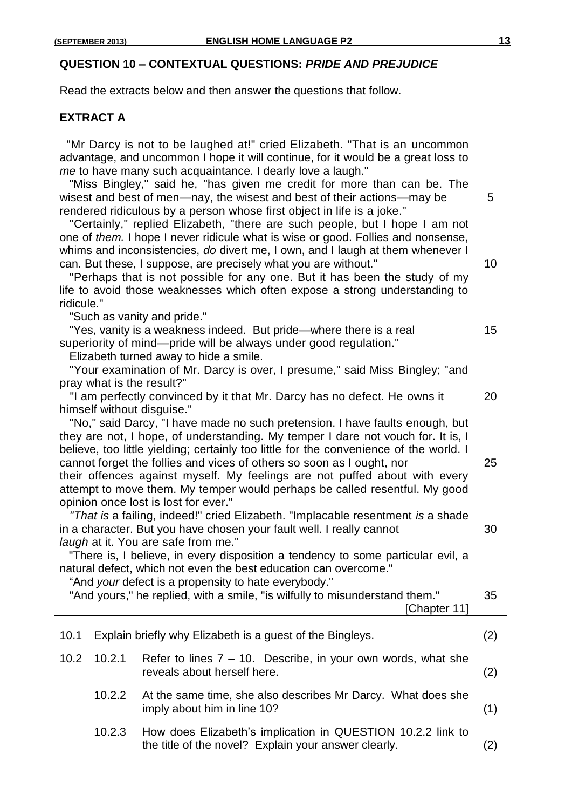## **QUESTION 10 – CONTEXTUAL QUESTIONS:** *PRIDE AND PREJUDICE*

Read the extracts below and then answer the questions that follow.

# **EXTRACT A** "Mr Darcy is not to be laughed at!" cried Elizabeth. "That is an uncommon advantage, and uncommon I hope it will continue, for it would be a great loss to *me* to have many such acquaintance. I dearly love a laugh." "Miss Bingley," said he, "has given me credit for more than can be. The wisest and best of men—nay, the wisest and best of their actions—may be 5 rendered ridiculous by a person whose first object in life is a joke." "Certainly," replied Elizabeth, "there are such people, but I hope I am not one of *them.* I hope I never ridicule what is wise or good. Follies and nonsense, whims and inconsistencies, *do* divert me, I own, and I laugh at them whenever I can. But these, I suppose, are precisely what you are without." "Perhaps that is not possible for any one. But it has been the study of my life to avoid those weaknesses which often expose a strong understanding to ridicule." "Such as vanity and pride." "Yes, vanity is a weakness indeed. But pride—where there is a real 15 superiority of mind—pride will be always under good regulation." Elizabeth turned away to hide a smile. "Your examination of Mr. Darcy is over, I presume," said Miss Bingley; "and pray what is the result?" "I am perfectly convinced by it that Mr. Darcy has no defect. He owns it 20 himself without disguise." "No," said Darcy, "I have made no such pretension. I have faults enough, but they are not, I hope, of understanding. My temper I dare not vouch for. It is, I believe, too little yielding; certainly too little for the convenience of the world. I cannot forget the follies and vices of others so soon as I ought, nor 25 their offences against myself. My feelings are not puffed about with every attempt to move them. My temper would perhaps be called resentful. My good opinion once lost is lost for ever."  *"That is* a failing, indeed!" cried Elizabeth. "Implacable resentment *is* a shade in a character. But you have chosen your fault well. I really cannot 30 *laugh* at it. You are safe from me." "There is, I believe, in every disposition a tendency to some particular evil, a natural defect, which not even the best education can overcome." "And *your* defect is a propensity to hate everybody." "And yours," he replied, with a smile, "is wilfully to misunderstand them." 35 [Chapter 11] 10.1 Explain briefly why Elizabeth is a guest of the Bingleys. (2) 10.2 10.2.1 Refer to lines 7 – 10. Describe, in your own words, what she reveals about herself here. (2) 10.2.2 At the same time, she also describes Mr Darcy. What does she imply about him in line 10? (1)

10.2.3 How does Elizabeth's implication in QUESTION 10.2.2 link to the title of the novel? Explain your answer clearly. (2)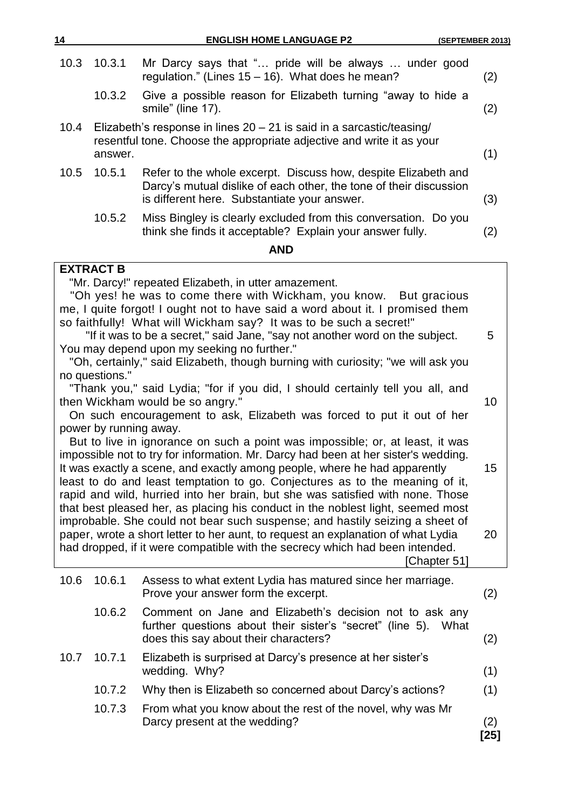| 14                                                                                                                                                                                                                                                                                                                                                                                                                                           |                                                                                                                                                             | <b>ENGLISH HOME LANGUAGE P2</b>                                                                                                                                                                                                                                                                                                                     | (SEPTEMBER 2013) |  |
|----------------------------------------------------------------------------------------------------------------------------------------------------------------------------------------------------------------------------------------------------------------------------------------------------------------------------------------------------------------------------------------------------------------------------------------------|-------------------------------------------------------------------------------------------------------------------------------------------------------------|-----------------------------------------------------------------------------------------------------------------------------------------------------------------------------------------------------------------------------------------------------------------------------------------------------------------------------------------------------|------------------|--|
| 10.3                                                                                                                                                                                                                                                                                                                                                                                                                                         | 10.3.1                                                                                                                                                      | Mr Darcy says that " pride will be always  under good<br>regulation." (Lines $15 - 16$ ). What does he mean?                                                                                                                                                                                                                                        | (2)              |  |
|                                                                                                                                                                                                                                                                                                                                                                                                                                              | 10.3.2                                                                                                                                                      | Give a possible reason for Elizabeth turning "away to hide a<br>smile" (line 17).                                                                                                                                                                                                                                                                   | (2)              |  |
| 10.4                                                                                                                                                                                                                                                                                                                                                                                                                                         | Elizabeth's response in lines $20 - 21$ is said in a sarcastic/teasing/<br>resentful tone. Choose the appropriate adjective and write it as your<br>answer. |                                                                                                                                                                                                                                                                                                                                                     |                  |  |
| 10.5                                                                                                                                                                                                                                                                                                                                                                                                                                         | 10.5.1                                                                                                                                                      | Refer to the whole excerpt. Discuss how, despite Elizabeth and<br>Darcy's mutual dislike of each other, the tone of their discussion<br>is different here. Substantiate your answer.                                                                                                                                                                | (3)              |  |
|                                                                                                                                                                                                                                                                                                                                                                                                                                              | 10.5.2                                                                                                                                                      | Miss Bingley is clearly excluded from this conversation. Do you<br>think she finds it acceptable? Explain your answer fully.                                                                                                                                                                                                                        | (2)              |  |
|                                                                                                                                                                                                                                                                                                                                                                                                                                              |                                                                                                                                                             | <b>AND</b>                                                                                                                                                                                                                                                                                                                                          |                  |  |
|                                                                                                                                                                                                                                                                                                                                                                                                                                              | <b>EXTRACT B</b>                                                                                                                                            |                                                                                                                                                                                                                                                                                                                                                     |                  |  |
|                                                                                                                                                                                                                                                                                                                                                                                                                                              |                                                                                                                                                             | "Mr. Darcy!" repeated Elizabeth, in utter amazement.<br>"Oh yes! he was to come there with Wickham, you know.<br><b>But gracious</b><br>me, I quite forgot! I ought not to have said a word about it. I promised them<br>so faithfully! What will Wickham say? It was to be such a secret!"                                                         |                  |  |
| "If it was to be a secret," said Jane, "say not another word on the subject.<br>You may depend upon my seeking no further."<br>"Oh, certainly," said Elizabeth, though burning with curiosity; "we will ask you                                                                                                                                                                                                                              |                                                                                                                                                             |                                                                                                                                                                                                                                                                                                                                                     |                  |  |
| no questions."<br>"Thank you," said Lydia; "for if you did, I should certainly tell you all, and<br>then Wickham would be so angry."<br>On such encouragement to ask, Elizabeth was forced to put it out of her                                                                                                                                                                                                                              |                                                                                                                                                             |                                                                                                                                                                                                                                                                                                                                                     |                  |  |
| power by running away.<br>But to live in ignorance on such a point was impossible; or, at least, it was<br>impossible not to try for information. Mr. Darcy had been at her sister's wedding.<br>It was exactly a scene, and exactly among people, where he had apparently<br>least to do and least temptation to go. Conjectures as to the meaning of it,<br>rapid and wild, hurried into her brain, but she was satisfied with none. Those |                                                                                                                                                             |                                                                                                                                                                                                                                                                                                                                                     |                  |  |
|                                                                                                                                                                                                                                                                                                                                                                                                                                              |                                                                                                                                                             | that best pleased her, as placing his conduct in the noblest light, seemed most<br>improbable. She could not bear such suspense; and hastily seizing a sheet of<br>paper, wrote a short letter to her aunt, to request an explanation of what Lydia<br>had dropped, if it were compatible with the secrecy which had been intended.<br>[Chapter 51] | 20               |  |
| 10.6                                                                                                                                                                                                                                                                                                                                                                                                                                         | 10.6.1                                                                                                                                                      | Assess to what extent Lydia has matured since her marriage.<br>Prove your answer form the excerpt.                                                                                                                                                                                                                                                  | (2)              |  |
|                                                                                                                                                                                                                                                                                                                                                                                                                                              | 10.6.2                                                                                                                                                      | Comment on Jane and Elizabeth's decision not to ask any<br>further questions about their sister's "secret" (line 5).<br>What<br>does this say about their characters?                                                                                                                                                                               | (2)              |  |
| 10.7                                                                                                                                                                                                                                                                                                                                                                                                                                         | 10.7.1                                                                                                                                                      | Elizabeth is surprised at Darcy's presence at her sister's<br>wedding. Why?                                                                                                                                                                                                                                                                         | (1)              |  |
|                                                                                                                                                                                                                                                                                                                                                                                                                                              | 10.7.2                                                                                                                                                      | Why then is Elizabeth so concerned about Darcy's actions?                                                                                                                                                                                                                                                                                           | (1)              |  |
|                                                                                                                                                                                                                                                                                                                                                                                                                                              | 10.7.3                                                                                                                                                      | From what you know about the rest of the novel, why was Mr<br>Darcy present at the wedding?                                                                                                                                                                                                                                                         | (2)<br>$[25]$    |  |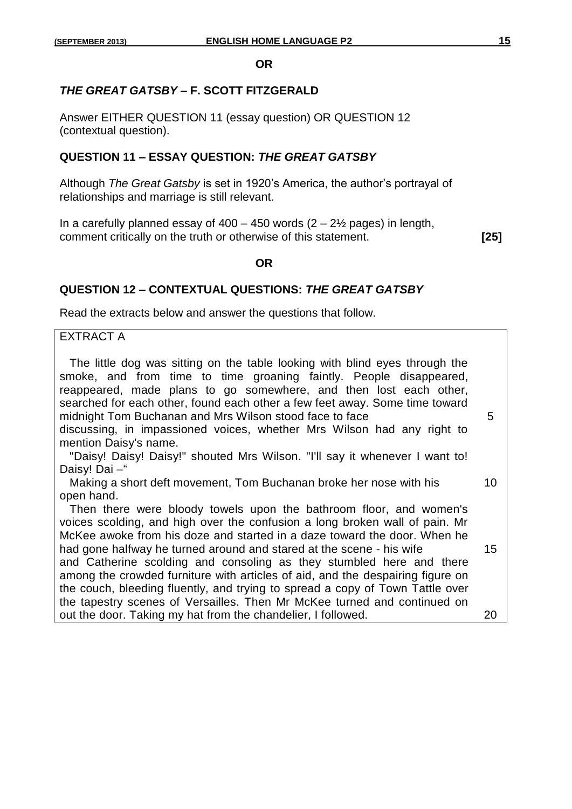#### **OR**

# *THE GREAT GATSBY* **– F. SCOTT FITZGERALD**

Answer EITHER QUESTION 11 (essay question) OR QUESTION 12 (contextual question).

# **QUESTION 11 – ESSAY QUESTION:** *THE GREAT GATSBY*

Although *The Great Gatsby* is set in 1920's America, the author's portrayal of relationships and marriage is still relevant.

In a carefully planned essay of  $400 - 450$  words  $(2 - 2\frac{1}{2})$  pages) in length, comment critically on the truth or otherwise of this statement. **[25]**

#### **OR**

# **QUESTION 12 – CONTEXTUAL QUESTIONS:** *THE GREAT GATSBY*

Read the extracts below and answer the questions that follow.

# EXTRACT A

 The little dog was sitting on the table looking with blind eyes through the smoke, and from time to time groaning faintly. People disappeared, reappeared, made plans to go somewhere, and then lost each other, searched for each other, found each other a few feet away. Some time toward midnight Tom Buchanan and Mrs Wilson stood face to face  $\sim$  5 discussing, in impassioned voices, whether Mrs Wilson had any right to mention Daisy's name.

 "Daisy! Daisy! Daisy!" shouted Mrs Wilson. "I'll say it whenever I want to! Daisy! Dai –"

Making a short deft movement, Tom Buchanan broke her nose with his 10 open hand.

 Then there were bloody towels upon the bathroom floor, and women's voices scolding, and high over the confusion a long broken wall of pain. Mr McKee awoke from his doze and started in a daze toward the door. When he had gone halfway he turned around and stared at the scene - his wife 15 and Catherine scolding and consoling as they stumbled here and there among the crowded furniture with articles of aid, and the despairing figure on the couch, bleeding fluently, and trying to spread a copy of Town Tattle over the tapestry scenes of Versailles. Then Mr McKee turned and continued on out the door. Taking my hat from the chandelier, I followed. 20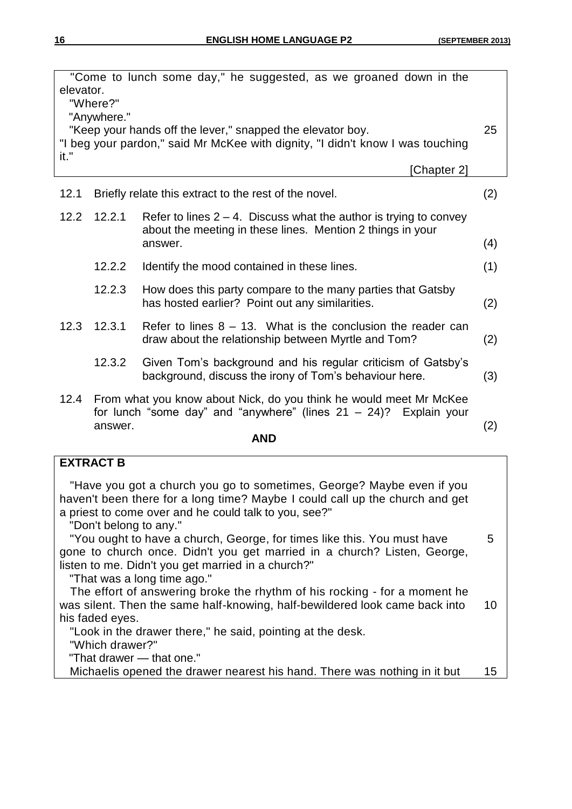| "Come to lunch some day," he suggested, as we groaned down in the<br>elevator.<br>"Where?"<br>"Anywhere."<br>"Keep your hands off the lever," snapped the elevator boy.<br>"I beg your pardon," said Mr McKee with dignity, "I didn't know I was touching<br>it."<br>[Chapter 2] |                                                                                                                                            |                                                                                                                                               | 25  |
|----------------------------------------------------------------------------------------------------------------------------------------------------------------------------------------------------------------------------------------------------------------------------------|--------------------------------------------------------------------------------------------------------------------------------------------|-----------------------------------------------------------------------------------------------------------------------------------------------|-----|
| 12.1                                                                                                                                                                                                                                                                             |                                                                                                                                            | Briefly relate this extract to the rest of the novel.                                                                                         | (2) |
| 12.2                                                                                                                                                                                                                                                                             | 12.2.1                                                                                                                                     | Refer to lines $2 - 4$ . Discuss what the author is trying to convey<br>about the meeting in these lines. Mention 2 things in your<br>answer. | (4) |
|                                                                                                                                                                                                                                                                                  | 12.2.2                                                                                                                                     | Identify the mood contained in these lines.                                                                                                   | (1) |
|                                                                                                                                                                                                                                                                                  | 12.2.3                                                                                                                                     | How does this party compare to the many parties that Gatsby<br>has hosted earlier? Point out any similarities.                                | (2) |
| 12.3                                                                                                                                                                                                                                                                             | 12.3.1                                                                                                                                     | Refer to lines $8 - 13$ . What is the conclusion the reader can<br>draw about the relationship between Myrtle and Tom?                        | (2) |
|                                                                                                                                                                                                                                                                                  | 12.3.2                                                                                                                                     | Given Tom's background and his regular criticism of Gatsby's<br>background, discuss the irony of Tom's behaviour here.                        | (3) |
| 12.4                                                                                                                                                                                                                                                                             | From what you know about Nick, do you think he would meet Mr McKee<br>for lunch "some day" and "anywhere" (lines $21 - 24$ )? Explain your |                                                                                                                                               |     |
|                                                                                                                                                                                                                                                                                  | answer.                                                                                                                                    | <b>AND</b>                                                                                                                                    | (2) |
|                                                                                                                                                                                                                                                                                  |                                                                                                                                            |                                                                                                                                               |     |

## **EXTRACT B**

 "Have you got a church you go to sometimes, George? Maybe even if you haven't been there for a long time? Maybe I could call up the church and get a priest to come over and he could talk to you, see?"

"Don't belong to any."

"You ought to have a church, George, for times like this. You must have 5 gone to church once. Didn't you get married in a church? Listen, George, listen to me. Didn't you get married in a church?"

"That was a long time ago."

 The effort of answering broke the rhythm of his rocking - for a moment he was silent. Then the same half-knowing, half-bewildered look came back into 10 his faded eyes.

"Look in the drawer there," he said, pointing at the desk.

"Which drawer?"

"That drawer — that one."

Michaelis opened the drawer nearest his hand. There was nothing in it but 15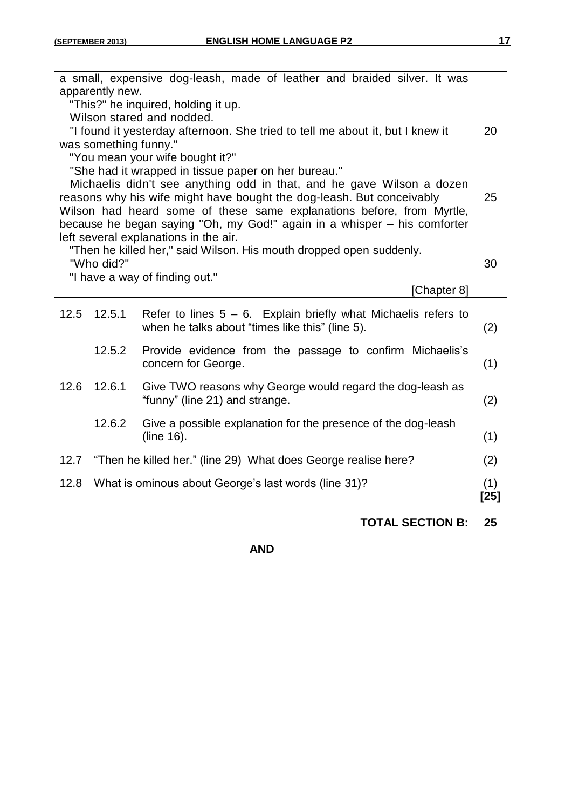| a small, expensive dog-leash, made of leather and braided silver. It was |                       |                                                                                             |      |  |  |
|--------------------------------------------------------------------------|-----------------------|---------------------------------------------------------------------------------------------|------|--|--|
| apparently new.                                                          |                       |                                                                                             |      |  |  |
| "This?" he inquired, holding it up.                                      |                       |                                                                                             |      |  |  |
| Wilson stared and nodded.                                                |                       |                                                                                             |      |  |  |
|                                                                          |                       | "I found it yesterday afternoon. She tried to tell me about it, but I knew it               | 20   |  |  |
|                                                                          | was something funny." | "You mean your wife bought it?"                                                             |      |  |  |
|                                                                          |                       | "She had it wrapped in tissue paper on her bureau."                                         |      |  |  |
|                                                                          |                       | Michaelis didn't see anything odd in that, and he gave Wilson a dozen                       |      |  |  |
|                                                                          |                       | reasons why his wife might have bought the dog-leash. But conceivably                       | 25   |  |  |
|                                                                          |                       | Wilson had heard some of these same explanations before, from Myrtle,                       |      |  |  |
|                                                                          |                       | because he began saying "Oh, my God!" again in a whisper – his comforter                    |      |  |  |
|                                                                          |                       | left several explanations in the air.                                                       |      |  |  |
|                                                                          |                       | "Then he killed her," said Wilson. His mouth dropped open suddenly.                         |      |  |  |
|                                                                          | "Who did?"            |                                                                                             | 30   |  |  |
|                                                                          |                       | "I have a way of finding out."                                                              |      |  |  |
|                                                                          |                       | [Chapter 8]                                                                                 |      |  |  |
| 12.5                                                                     | 12.5.1                | Refer to lines $5 - 6$ . Explain briefly what Michaelis refers to                           |      |  |  |
|                                                                          |                       | when he talks about "times like this" (line 5).                                             | (2)  |  |  |
|                                                                          |                       |                                                                                             |      |  |  |
|                                                                          | 12.5.2                | Provide evidence from the passage to confirm Michaelis's                                    |      |  |  |
|                                                                          |                       | concern for George.                                                                         | (1)  |  |  |
| 12.6                                                                     | 12.6.1                |                                                                                             |      |  |  |
|                                                                          |                       | Give TWO reasons why George would regard the dog-leash as<br>"funny" (line 21) and strange. |      |  |  |
|                                                                          |                       |                                                                                             | (2)  |  |  |
|                                                                          | 12.6.2                | Give a possible explanation for the presence of the dog-leash                               |      |  |  |
|                                                                          |                       | (line 16).                                                                                  | (1)  |  |  |
|                                                                          |                       |                                                                                             |      |  |  |
| 12.7                                                                     |                       | "Then he killed her." (line 29) What does George realise here?                              | (2)  |  |  |
| 12.8<br>What is ominous about George's last words (line 31)?             |                       |                                                                                             | (1)  |  |  |
|                                                                          |                       |                                                                                             | [25] |  |  |
|                                                                          |                       |                                                                                             |      |  |  |
|                                                                          |                       | <b>TOTAL SECTION B:</b>                                                                     | 25   |  |  |

**AND**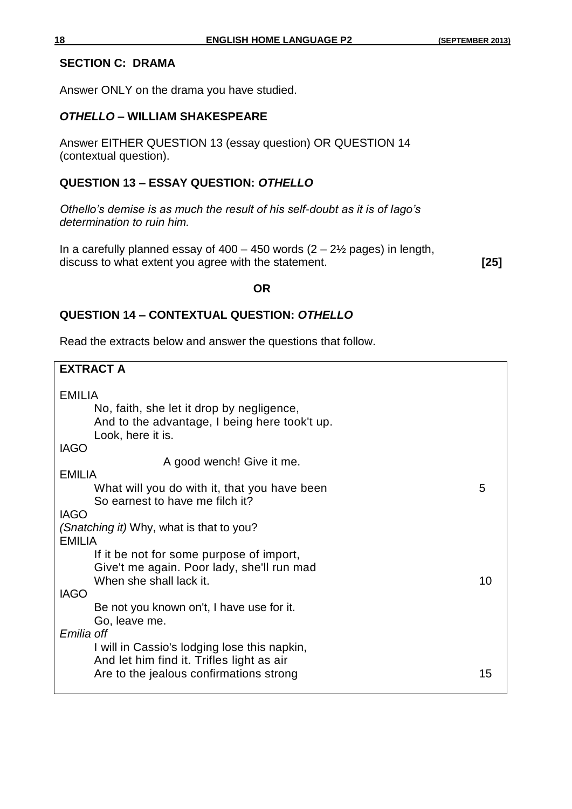# **SECTION C: DRAMA**

Answer ONLY on the drama you have studied.

# *OTHELLO* **– WILLIAM SHAKESPEARE**

Answer EITHER QUESTION 13 (essay question) OR QUESTION 14 (contextual question).

# **QUESTION 13 – ESSAY QUESTION:** *OTHELLO*

*Othello's demise is as much the result of his self-doubt as it is of Iago's determination to ruin him.*

In a carefully planned essay of  $400 - 450$  words  $(2 - 2\frac{1}{2})$  pages) in length, discuss to what extent you agree with the statement. **[25]**

## **OR**

# **QUESTION 14 – CONTEXTUAL QUESTION:** *OTHELLO*

Read the extracts below and answer the questions that follow.

| <b>EXTRACT A</b>                                                                                                                     |    |
|--------------------------------------------------------------------------------------------------------------------------------------|----|
| <b>EMILIA</b><br>No, faith, she let it drop by negligence,<br>And to the advantage, I being here took't up.<br>Look, here it is.     |    |
| <b>IAGO</b><br>A good wench! Give it me.                                                                                             |    |
| <b>EMILIA</b>                                                                                                                        |    |
| What will you do with it, that you have been<br>So earnest to have me filch it?                                                      | 5  |
| <b>IAGO</b>                                                                                                                          |    |
| (Snatching it) Why, what is that to you?<br><b>EMILIA</b>                                                                            |    |
| If it be not for some purpose of import,<br>Give't me again. Poor lady, she'll run mad<br>When she shall lack it.                    | 10 |
| <b>IAGO</b>                                                                                                                          |    |
| Be not you known on't, I have use for it.<br>Go, leave me.                                                                           |    |
| Emilia off                                                                                                                           |    |
| I will in Cassio's lodging lose this napkin,<br>And let him find it. Trifles light as air<br>Are to the jealous confirmations strong | 15 |
|                                                                                                                                      |    |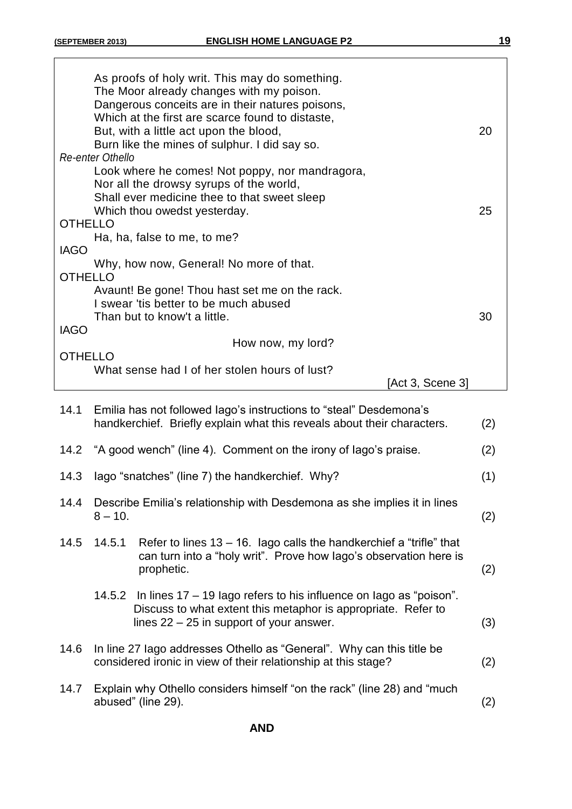| As proofs of holy writ. This may do something.<br>The Moor already changes with my poison.<br>Dangerous conceits are in their natures poisons,<br>Which at the first are scarce found to distaste,<br>But, with a little act upon the blood,<br>Burn like the mines of sulphur. I did say so.<br><b>Re-enter Othello</b> |           |                                                                                                                                                                                                                                          |                  | 20  |
|--------------------------------------------------------------------------------------------------------------------------------------------------------------------------------------------------------------------------------------------------------------------------------------------------------------------------|-----------|------------------------------------------------------------------------------------------------------------------------------------------------------------------------------------------------------------------------------------------|------------------|-----|
| <b>OTHELLO</b><br><b>IAGO</b>                                                                                                                                                                                                                                                                                            |           | Look where he comes! Not poppy, nor mandragora,<br>Nor all the drowsy syrups of the world,<br>Shall ever medicine thee to that sweet sleep<br>Which thou owedst yesterday.<br>Ha, ha, false to me, to me?                                |                  | 25  |
| <b>OTHELLO</b><br><b>IAGO</b><br><b>OTHELLO</b>                                                                                                                                                                                                                                                                          |           | Why, how now, General! No more of that.<br>Avaunt! Be gone! Thou hast set me on the rack.<br>I swear 'tis better to be much abused<br>Than but to know't a little.<br>How now, my lord?<br>What sense had I of her stolen hours of lust? |                  | 30  |
|                                                                                                                                                                                                                                                                                                                          |           |                                                                                                                                                                                                                                          | [Act 3, Scene 3] |     |
| 14.1                                                                                                                                                                                                                                                                                                                     |           | Emilia has not followed lago's instructions to "steal" Desdemona's<br>handkerchief. Briefly explain what this reveals about their characters.                                                                                            |                  | (2) |
| 14.2                                                                                                                                                                                                                                                                                                                     |           | "A good wench" (line 4). Comment on the irony of lago's praise.                                                                                                                                                                          |                  | (2) |
| 14.3                                                                                                                                                                                                                                                                                                                     |           | lago "snatches" (line 7) the handkerchief. Why?                                                                                                                                                                                          |                  | (1) |
| 14.4                                                                                                                                                                                                                                                                                                                     | $8 - 10.$ | Describe Emilia's relationship with Desdemona as she implies it in lines                                                                                                                                                                 |                  | (2) |
| 14.5                                                                                                                                                                                                                                                                                                                     | 14.5.1    | Refer to lines $13 - 16$ . lago calls the handkerchief a "trifle" that<br>can turn into a "holy writ". Prove how lago's observation here is<br>prophetic.                                                                                |                  | (2) |
|                                                                                                                                                                                                                                                                                                                          | 14.5.2    | In lines 17 – 19 lago refers to his influence on lago as "poison".<br>Discuss to what extent this metaphor is appropriate. Refer to                                                                                                      |                  |     |

14.6 In line 27 Iago addresses Othello as "General". Why can this title be considered ironic in view of their relationship at this stage? (2)

lines  $22 - 25$  in support of your answer. (3)

14.7 Explain why Othello considers himself "on the rack" (line 28) and "much  $a\bar{b}$  abused" (line 29). (2)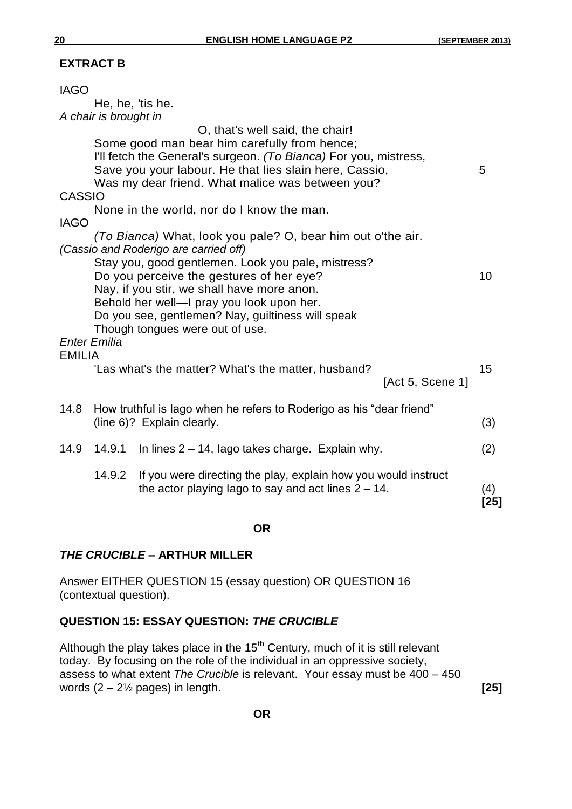|                     | <b>EXTRACT B</b>                                                                                                                                                                                                                                                                                                           |     |
|---------------------|----------------------------------------------------------------------------------------------------------------------------------------------------------------------------------------------------------------------------------------------------------------------------------------------------------------------------|-----|
| <b>IAGO</b>         |                                                                                                                                                                                                                                                                                                                            |     |
|                     | He, he, 'tis he.                                                                                                                                                                                                                                                                                                           |     |
|                     | A chair is brought in                                                                                                                                                                                                                                                                                                      |     |
|                     | O, that's well said, the chair!<br>Some good man bear him carefully from hence;<br>I'll fetch the General's surgeon. (To Bianca) For you, mistress,<br>Save you your labour. He that lies slain here, Cassio,<br>Was my dear friend. What malice was between you?                                                          | 5   |
| <b>CASSIO</b>       |                                                                                                                                                                                                                                                                                                                            |     |
| <b>IAGO</b>         | None in the world, nor do I know the man.                                                                                                                                                                                                                                                                                  |     |
|                     | (To Bianca) What, look you pale? O, bear him out o'the air.                                                                                                                                                                                                                                                                |     |
|                     | (Cassio and Roderigo are carried off)<br>Stay you, good gentlemen. Look you pale, mistress?<br>Do you perceive the gestures of her eye?<br>Nay, if you stir, we shall have more anon.<br>Behold her well-I pray you look upon her.<br>Do you see, gentlemen? Nay, guiltiness will speak<br>Though tongues were out of use. | 10  |
| <b>Enter Emilia</b> |                                                                                                                                                                                                                                                                                                                            |     |
| <b>EMILIA</b>       | 'Las what's the matter? What's the matter, husband?<br>[Act 5, Scene 1]                                                                                                                                                                                                                                                    | 15  |
|                     |                                                                                                                                                                                                                                                                                                                            |     |
| 14.8                | How truthful is lago when he refers to Roderigo as his "dear friend"<br>(line 6)? Explain clearly.                                                                                                                                                                                                                         | (3) |
| 14.9                | 14.9.1<br>In lines $2 - 14$ , lago takes charge. Explain why.                                                                                                                                                                                                                                                              | (2) |
|                     |                                                                                                                                                                                                                                                                                                                            |     |

14.9.2 If you were directing the play, explain how you would instruct the actor playing lago to say and act lines  $2 - 14$ .  $(4)$ **[25]**

## **OR**

## *THE CRUCIBLE* **– ARTHUR MILLER**

Answer EITHER QUESTION 15 (essay question) OR QUESTION 16 (contextual question).

# **QUESTION 15: ESSAY QUESTION:** *THE CRUCIBLE*

Although the play takes place in the  $15<sup>th</sup>$  Century, much of it is still relevant today. By focusing on the role of the individual in an oppressive society, assess to what extent *The Crucible* is relevant. Your essay must be 400 – 450 words (2 – 2½ pages) in length. **[25]**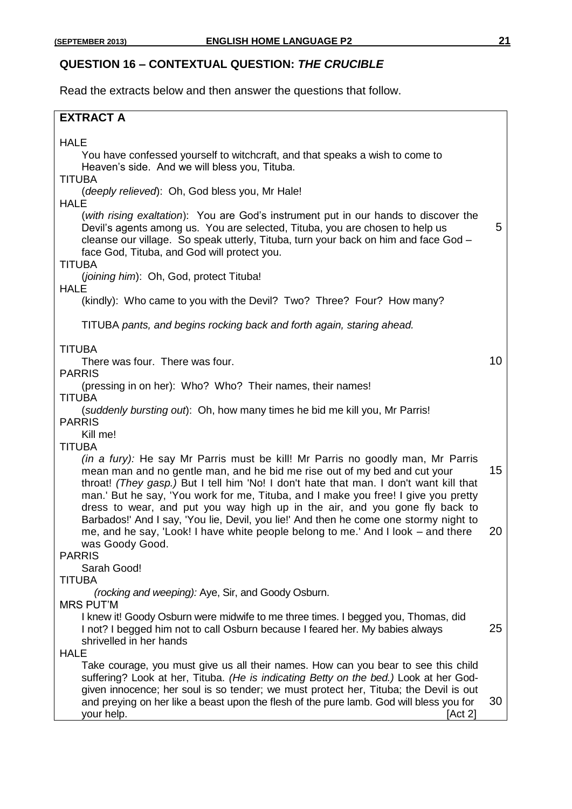# **QUESTION 16 – CONTEXTUAL QUESTION:** *THE CRUCIBLE*

Read the extracts below and then answer the questions that follow.

| <b>EXTRACT A</b>                                                                                                                                                                                                                                                                                                                                                                                                                                                                                                                                                                                                                                                                                                |          |
|-----------------------------------------------------------------------------------------------------------------------------------------------------------------------------------------------------------------------------------------------------------------------------------------------------------------------------------------------------------------------------------------------------------------------------------------------------------------------------------------------------------------------------------------------------------------------------------------------------------------------------------------------------------------------------------------------------------------|----------|
| <b>HALE</b><br>You have confessed yourself to witchcraft, and that speaks a wish to come to<br>Heaven's side. And we will bless you, Tituba.<br><b>TITUBA</b><br>(deeply relieved): Oh, God bless you, Mr Hale!<br><b>HALE</b><br>(with rising exaltation): You are God's instrument put in our hands to discover the<br>Devil's agents among us. You are selected, Tituba, you are chosen to help us<br>cleanse our village. So speak utterly, Tituba, turn your back on him and face God -<br>face God, Tituba, and God will protect you.<br><b>TITUBA</b><br>(joining him): Oh, God, protect Tituba!<br><b>HALE</b><br>(kindly): Who came to you with the Devil? Two? Three? Four? How many?                 | 5        |
| TITUBA pants, and begins rocking back and forth again, staring ahead.<br><b>TITUBA</b><br>There was four. There was four.<br><b>PARRIS</b><br>(pressing in on her): Who? Who? Their names, their names!<br><b>TITUBA</b><br>(suddenly bursting out): Oh, how many times he bid me kill you, Mr Parris!                                                                                                                                                                                                                                                                                                                                                                                                          | 10       |
| <b>PARRIS</b><br>Kill me!<br><b>TITUBA</b><br><i>(in a fury):</i> He say Mr Parris must be kill! Mr Parris no goodly man, Mr Parris<br>mean man and no gentle man, and he bid me rise out of my bed and cut your<br>throat! (They gasp.) But I tell him 'No! I don't hate that man. I don't want kill that<br>man.' But he say, 'You work for me, Tituba, and I make you free! I give you pretty<br>dress to wear, and put you way high up in the air, and you gone fly back to<br>Barbados!' And I say, 'You lie, Devil, you lie!' And then he come one stormy night to<br>me, and he say, 'Look! I have white people belong to me.' And I look – and there<br>was Goody Good.<br><b>PARRIS</b><br>Sarah Good! | 15<br>20 |
| TITUBA<br>(rocking and weeping): Aye, Sir, and Goody Osburn.<br><b>MRS PUT'M</b><br>I knew it! Goody Osburn were midwife to me three times. I begged you, Thomas, did<br>I not? I begged him not to call Osburn because I feared her. My babies always<br>shrivelled in her hands<br><b>HALE</b><br>Take courage, you must give us all their names. How can you bear to see this child<br>suffering? Look at her, Tituba. (He is indicating Betty on the bed.) Look at her God-<br>given innocence; her soul is so tender; we must protect her, Tituba; the Devil is out<br>and preying on her like a beast upon the flesh of the pure lamb. God will bless you for<br>your help.<br>[Act 2]                    | 25<br>30 |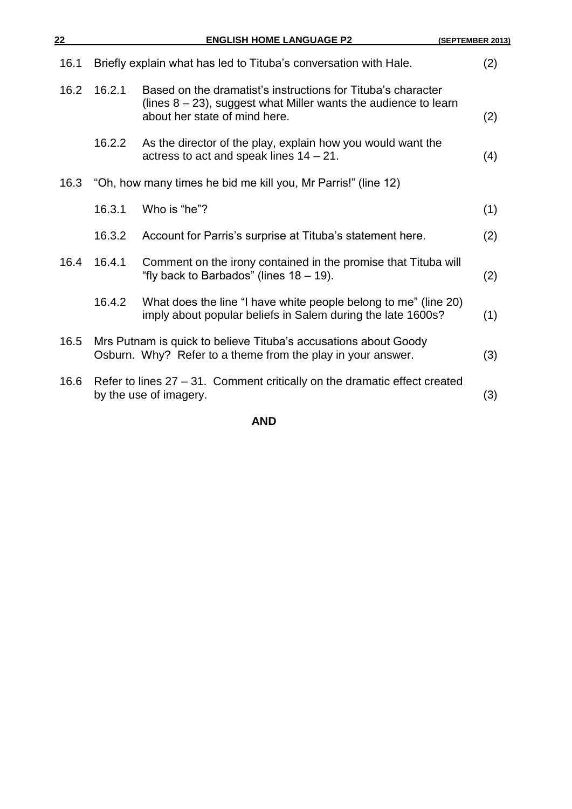| 22   |        | <b>ENGLISH HOME LANGUAGE P2</b>                                                                                                                                     | (SEPTEMBER 2013) |
|------|--------|---------------------------------------------------------------------------------------------------------------------------------------------------------------------|------------------|
| 16.1 |        | Briefly explain what has led to Tituba's conversation with Hale.                                                                                                    | (2)              |
| 16.2 | 16.2.1 | Based on the dramatist's instructions for Tituba's character<br>(lines $8 - 23$ ), suggest what Miller wants the audience to learn<br>about her state of mind here. | (2)              |
|      | 16.2.2 | As the director of the play, explain how you would want the<br>actress to act and speak lines $14 - 21$ .                                                           | (4)              |
| 16.3 |        | "Oh, how many times he bid me kill you, Mr Parris!" (line 12)                                                                                                       |                  |
|      | 16.3.1 | Who is "he"?                                                                                                                                                        | (1)              |
|      | 16.3.2 | Account for Parris's surprise at Tituba's statement here.                                                                                                           | (2)              |
| 16.4 | 16.4.1 | Comment on the irony contained in the promise that Tituba will<br>"fly back to Barbados" (lines $18 - 19$ ).                                                        | (2)              |
|      | 16.4.2 | What does the line "I have white people belong to me" (line 20)<br>imply about popular beliefs in Salem during the late 1600s?                                      | (1)              |
| 16.5 |        | Mrs Putnam is quick to believe Tituba's accusations about Goody<br>Osburn. Why? Refer to a theme from the play in your answer.                                      | (3)              |
| 16.6 |        | Refer to lines $27 - 31$ . Comment critically on the dramatic effect created<br>by the use of imagery.                                                              | (3)              |
|      |        |                                                                                                                                                                     |                  |

**AND**